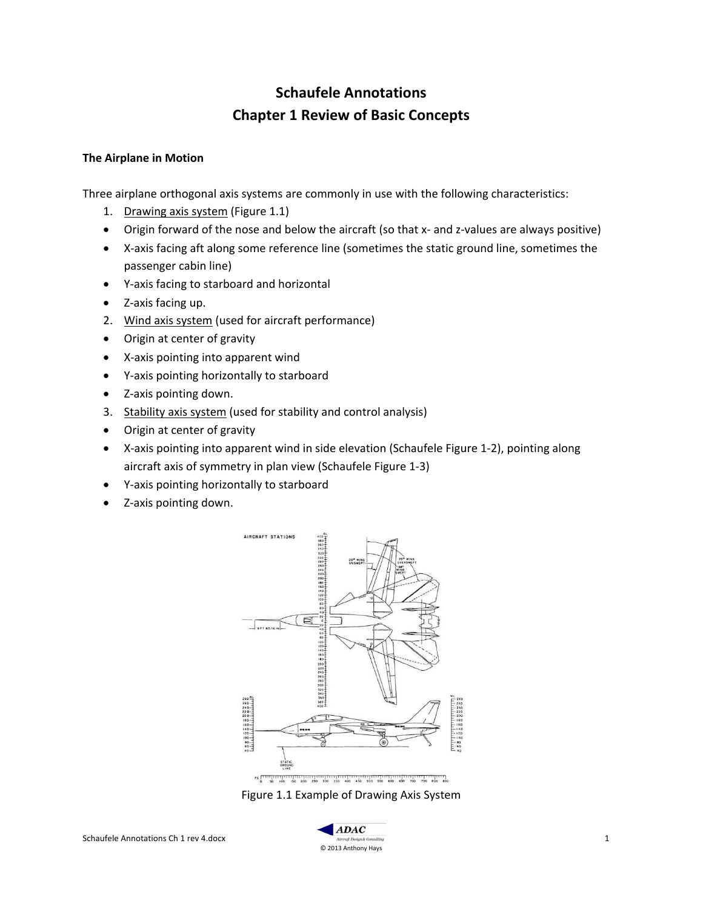# **Schaufele Annotations Chapter 1 Review of Basic Concepts**

### **The Airplane in Motion**

Three airplane orthogonal axis systems are commonly in use with the following characteristics:

- 1. Drawing axis system (Figure 1.1)
- Origin forward of the nose and below the aircraft (so that x- and z-values are always positive)
- X-axis facing aft along some reference line (sometimes the static ground line, sometimes the passenger cabin line)
- Y-axis facing to starboard and horizontal
- Z-axis facing up.
- 2. Wind axis system (used for aircraft performance)
- Origin at center of gravity
- X-axis pointing into apparent wind
- Y-axis pointing horizontally to starboard
- Z-axis pointing down.
- 3. Stability axis system (used for stability and control analysis)
- Origin at center of gravity
- X-axis pointing into apparent wind in side elevation (Schaufele Figure 1-2), pointing along aircraft axis of symmetry in plan view (Schaufele Figure 1-3)
- Y-axis pointing horizontally to starboard
- Z-axis pointing down.



Figure 1.1 Example of Drawing Axis System

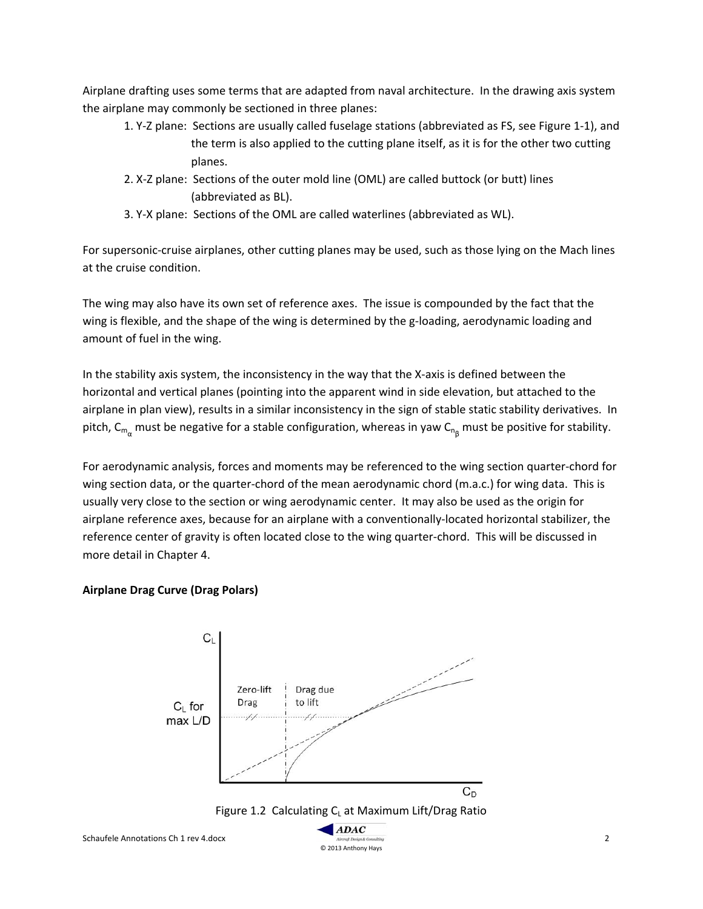Airplane drafting uses some terms that are adapted from naval architecture. In the drawing axis system the airplane may commonly be sectioned in three planes:

- 1. Y-Z plane: Sections are usually called fuselage stations (abbreviated as FS, see Figure 1-1), and the term is also applied to the cutting plane itself, as it is for the other two cutting planes.
- 2. X-Z plane: Sections of the outer mold line (OML) are called buttock (or butt) lines (abbreviated as BL).
- 3. Y-X plane: Sections of the OML are called waterlines (abbreviated as WL).

For supersonic-cruise airplanes, other cutting planes may be used, such as those lying on the Mach lines at the cruise condition.

The wing may also have its own set of reference axes. The issue is compounded by the fact that the wing is flexible, and the shape of the wing is determined by the g-loading, aerodynamic loading and amount of fuel in the wing.

In the stability axis system, the inconsistency in the way that the X-axis is defined between the horizontal and vertical planes (pointing into the apparent wind in side elevation, but attached to the airplane in plan view), results in a similar inconsistency in the sign of stable static stability derivatives. In pitch, C<sub>m<sub>α</sub> must be negative for a stable configuration, whereas in yaw C<sub>ng</sub> must be positive for stability.</sub>

For aerodynamic analysis, forces and moments may be referenced to the wing section quarter-chord for wing section data, or the quarter-chord of the mean aerodynamic chord (m.a.c.) for wing data. This is usually very close to the section or wing aerodynamic center. It may also be used as the origin for airplane reference axes, because for an airplane with a conventionally-located horizontal stabilizer, the reference center of gravity is often located close to the wing quarter-chord. This will be discussed in more detail in Chapter 4.

## **Airplane Drag Curve (Drag Polars)**

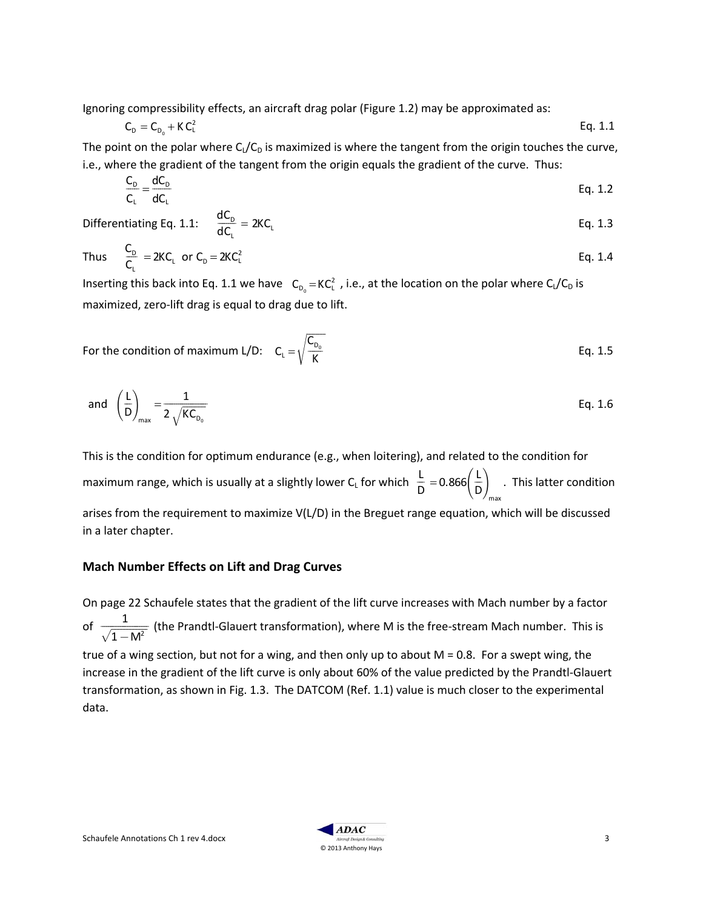Ignoring compressibility effects, an aircraft drag polar (Figure 1.2) may be approximated as:

$$
C_{D} = C_{D_0} + K C_L^2
$$
 Eq. 1.1

The point on the polar where  $C_l/C_D$  is maximized is where the tangent from the origin touches the curve, i.e., where the gradient of the tangent from the origin equals the gradient of the curve. Thus:

$$
\frac{C_{D}}{C_{L}} = \frac{dC_{D}}{dC_{L}}
$$
 Eq. 1.2

Differentiating Eq. 1.1:  $\frac{dC_{D}}{dC_{D}}$  $dC_{\mathsf{L}}$  $IC_{\scriptscriptstyle{\rm D}}$  $= 2KC_1$  Eq. 1.3

Thus 
$$
\frac{C_{D}}{C_{L}} = 2KC_{L}
$$
 or  $C_{D} = 2KC_{L}^{2}$  Eq. 1.4

Inserting this back into Eq. 1.1 we have  $\,C_{_{D_0}} = KC_L^2\,$  , i.e., at the location on the polar where  $C_L/C_D$  is maximized, zero-lift drag is equal to drag due to lift.

For the condition of maximum L/D: 
$$
C_L = \sqrt{\frac{C_{D_0}}{K}}
$$
 Eq. 1.5

and 
$$
\left(\frac{L}{D}\right)_{max} = \frac{1}{2\sqrt{KC_{D_0}}}
$$
 Eq. 1.6

This is the condition for optimum endurance (e.g., when loitering), and related to the condition for maximum range, which is usually at a slightly lower C<sub>L</sub> for which  $\frac{L}{D}$  $\frac{L}{D} = 0.866 \left( \frac{L}{D} \right)$  $\int$  L  $\bigg\}$ max . This latter condition arises from the requirement to maximize V(L/D) in the Breguet range equation, which will be discussed in a later chapter.

## **Mach Number Effects on Lift and Drag Curves**

On page 22 Schaufele states that the gradient of the lift curve increases with Mach number by a factor of  $\frac{1}{\sqrt{1-M^2}}$  (the Prandtl-Glauert transformation), where M is the free-stream Mach number. This is true of a wing section, but not for a wing, and then only up to about  $M = 0.8$ . For a swept wing, the increase in the gradient of the lift curve is only about 60% of the value predicted by the Prandtl-Glauert transformation, as shown in Fig. 1.3. The DATCOM (Ref. 1.1) value is much closer to the experimental data.